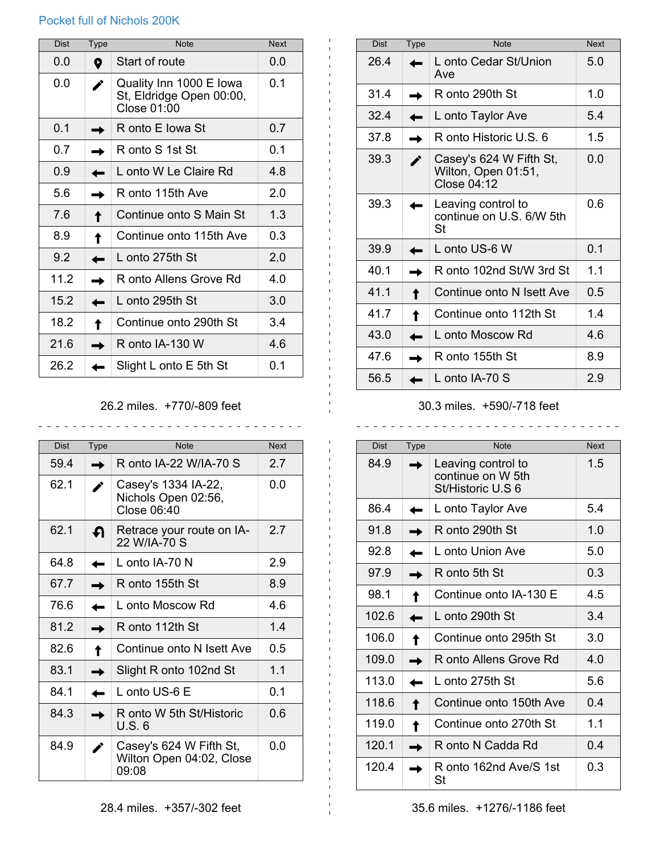## Pocket full of Nichols 200K

| <b>Dist</b> | <b>Type</b> | <b>Note</b>                                                        | <b>Next</b>    |
|-------------|-------------|--------------------------------------------------------------------|----------------|
| 0.0         | 0           | Start of route                                                     | 0.0            |
| 0.0         |             | Quality Inn 1000 E Iowa<br>St, Eldridge Open 00:00,<br>Close 01:00 | 0 <sub>1</sub> |
| 0.1         |             | R onto E Iowa St                                                   | 0.7            |
| 0.7         |             | R onto S 1st St                                                    | 0.1            |
| 0.9         |             | L onto W Le Claire Rd                                              | 4.8            |
| 5.6         |             | R onto 115th Ave                                                   | 2.0            |
| 7.6         |             | Continue onto S Main St                                            | 1.3            |
| 8.9         |             | Continue onto 115th Ave                                            | 0.3            |
| 9.2         |             | L onto 275th St                                                    | 20             |
| 11.2        |             | R onto Allens Grove Rd                                             | 4.0            |
| 15.2        |             | L onto 295th St                                                    | 3.0            |
| 18.2        |             | Continue onto 290th St                                             | 3.4            |
| 21.6        |             | R onto IA-130 W                                                    | 4.6            |
| 26.2        |             | Slight L onto E 5th St                                             | 0.1            |

## 26.2 miles. +770/-809 feet

\_\_\_\_\_\_\_\_\_\_\_\_\_\_\_\_\_\_\_\_\_\_\_\_\_\_\_\_\_\_\_\_

| <b>Dist</b> | <b>Type</b> | <b>Note</b>                                                  | <b>Next</b>    |
|-------------|-------------|--------------------------------------------------------------|----------------|
| 59.4        |             | R onto IA-22 W/IA-70 S                                       | 27             |
| 62.1        |             | Casey's 1334 IA-22,<br>Nichols Open 02:56,<br>Close 06:40    | 0.0            |
| 62.1        | ุฦ          | Retrace your route on IA-<br>22 W/IA-70 S                    | 27             |
| 64.8        |             | L onto $IA-70$ N                                             | 2.9            |
| 67.7        |             | R onto 155th St                                              | 8.9            |
| 76.6        |             | L onto Moscow Rd                                             | 4.6            |
| 81.2        |             | R onto 112th St                                              | 14             |
| 82.6        |             | Continue onto N Isett Ave                                    | 0.5            |
| 831         |             | Slight R onto 102nd St                                       | 1 <sub>1</sub> |
| 84.1        |             | L onto US-6 E                                                | 01             |
| 84.3        |             | R onto W 5th St/Historic<br>U.S. 6                           | 0.6            |
| 84.9        |             | Casey's 624 W Fifth St,<br>Wilton Open 04:02, Close<br>09:08 | 0.0            |

| <b>Dist</b> | <b>Type</b> | <b>Note</b>                                                   | <b>Next</b>    |
|-------------|-------------|---------------------------------------------------------------|----------------|
| 26.4        |             | L onto Cedar St/Union<br>Ave                                  | 5.0            |
| 31.4        |             | R onto 290th St                                               | 1.0            |
| 32.4        |             | L onto Taylor Ave                                             | 5.4            |
| 37.8        |             | R onto Historic U.S. 6                                        | 1.5            |
| 39.3        |             | Casey's 624 W Fifth St,<br>Wilton, Open 01:51,<br>Close 04:12 | 0.0            |
| 39.3        |             | Leaving control to<br>continue on U.S. 6/W 5th<br>St          | 0.6            |
| 39.9        |             | L onto US-6 W                                                 | 0 <sub>1</sub> |
| 40.1        |             | R onto 102nd St/W 3rd St                                      | 1.1            |
| 41.1        |             | Continue onto N Isett Ave                                     | 0.5            |
| 41.7        |             | Continue onto 112th St                                        | 1.4            |
| 43.0        |             | L onto Moscow Rd                                              | 4.6            |
| 47.6        |             | R onto 155th St                                               | 8.9            |
| 56.5        |             | L onto $IA-70$ S                                              | 2.9            |

## 30.3 miles. +590/-718 feet

| <b>Dist</b> | <b>Type</b> | <b>Note</b>                                                  | <b>Next</b>    |
|-------------|-------------|--------------------------------------------------------------|----------------|
| 84.9        |             | Leaving control to<br>continue on W 5th<br>St/Historic U.S 6 | 1.5            |
| 86.4        |             | L onto Taylor Ave                                            | 5.4            |
| 91.8        |             | R onto 290th St                                              | 1.0            |
| 92.8        |             | L onto Union Ave                                             | 5.0            |
| 97.9        |             | R onto 5th St                                                | 0.3            |
| 98.1        |             | Continue onto IA-130 E                                       | 4.5            |
| 1026        |             | L onto 290th St                                              | 34             |
| 106.0       |             | Continue onto 295th St                                       | 3 O            |
| 109.0       |             | R onto Allens Grove Rd                                       | 4.0            |
| 113.0       |             | L onto 275th St                                              | 5.6            |
| 1186        |             | Continue onto 150th Ave                                      | 0.4            |
| 119.0       |             | Continue onto 270th St                                       | 1 <sub>1</sub> |
| 120.1       |             | R onto N Cadda Rd                                            | 0.4            |
| 120.4       |             | R onto 162nd Ave/S 1st<br>St                                 | 0.3            |